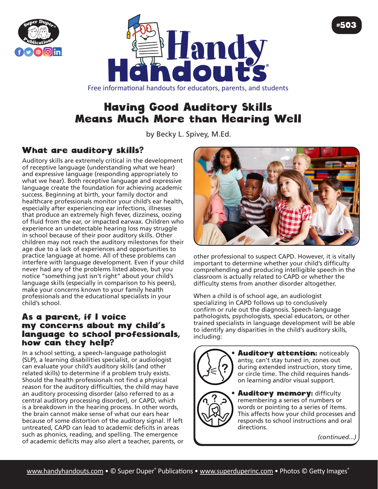



## Free informational handouts for educators, parents, and students

# Having Good Auditory Skills Means Much More than Hearing Well

by Becky L. Spivey, [M.Ed](http://M.Ed).

## What are auditory skills?

Auditory skills are extremely critical in the development of receptive language (understanding what we hear) and expressive language (responding appropriately to what we hear). Both receptive language and expressive language create the foundation for achieving academic success. Beginning at birth, your family doctor and healthcare professionals monitor your child's ear health, especially after experiencing ear infections, illnesses that produce an extremely high fever, dizziness, oozing of fluid from the ear, or impacted earwax. Children who experience an undetectable hearing loss may struggle in school because of their poor auditory skills. Other children may not reach the auditory milestones for their age due to a lack of experiences and opportunities to practice language at home. All of these problems can interfere with language development. Even if your child never had any of the problems listed above, but you notice "something just isn't right" about your child's language skills (especially in comparison to his peers), make your concerns known to your family health professionals and the educational specialists in your child's school.

## As a parent, if I voice my concerns about my child's language to school professionals, how can they help?

In a school setting, a speech-language pathologist (SLP), a learning disabilities specialist, or audiologist can evaluate your child's auditory skills (and other related skills) to determine if a problem truly exists. Should the health professionals not find a physical reason for the auditory difficulties, the child may have an auditory processing disorder (also referred to as a central auditory processing disorder), or CAPD, which is a breakdown in the hearing process. In other words, the brain cannot make sense of what our ears hear because of some distortion of the auditory signal. If left untreated, CAPD can lead to academic deficits in areas such as phonics, reading, and spelling. The emergence of academic deficits may also alert a teacher, parents, or



other professional to suspect CAPD. However, it is vitally important to determine whether your child's difficulty comprehending and producing intelligible speech in the classroom is actually related to CAPD or whether the difficulty stems from another disorder altogether.

When a child is of school age, an audiologist specializing in CAPD follows up to conclusively confirm or rule out the diagnosis. Speech-language pathologists, psychologists, special educators, or other trained specialists in language development will be able to identify any disparities in the child's auditory skills, including:



**Auditory attention: noticeably** antsy, can't stay tuned in, zones out during extended instruction, story time, or circle time. The child requires handson learning and/or visual support.

#### **Auditory memory: difficulty** remembering a series of numbers or words or pointing to a series of items. This affects how your child processes and responds to school instructions and oral directions.

*(continued...)*

#503